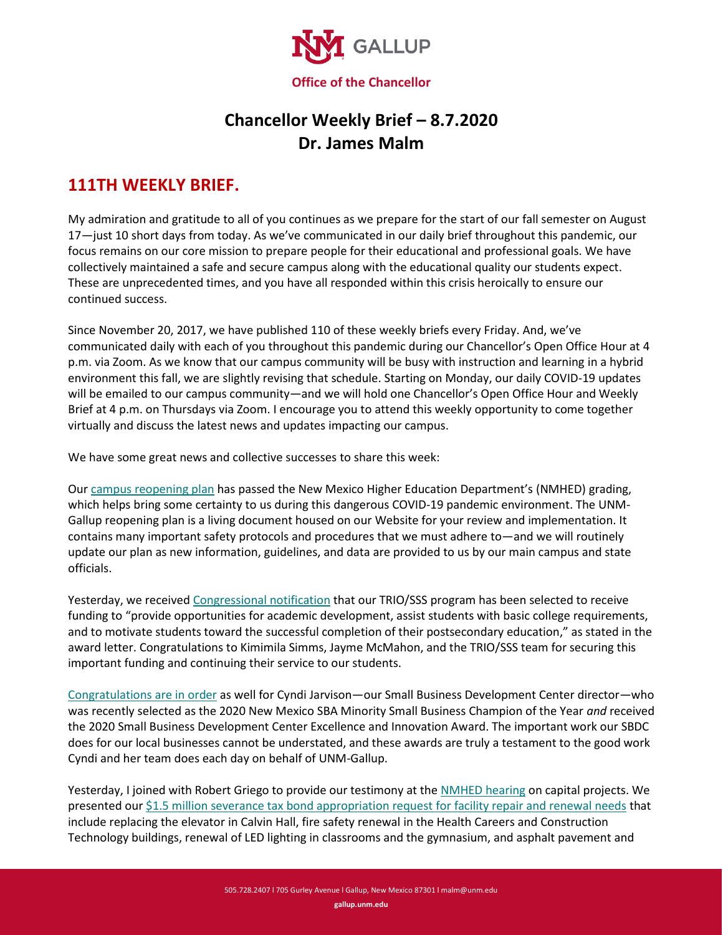

## **Chancellor Weekly Brief – 8.7.2020 Dr. James Malm**

## **111TH WEEKLY BRIEF.**

My admiration and gratitude to all of you continues as we prepare for the start of our fall semester on August 17—just 10 short days from today. As we've communicated in our daily brief throughout this pandemic, our focus remains on our core mission to prepare people for their educational and professional goals. We have collectively maintained a safe and secure campus along with the educational quality our students expect. These are unprecedented times, and you have all responded within this crisis heroically to ensure our continued success.

Since November 20, 2017, we have published 110 of these weekly briefs every Friday. And, we've communicated daily with each of you throughout this pandemic during our Chancellor's Open Office Hour at 4 p.m. via Zoom. As we know that our campus community will be busy with instruction and learning in a hybrid environment this fall, we are slightly revising that schedule. Starting on Monday, our daily COVID-19 updates will be emailed to our campus community—and we will hold one Chancellor's Open Office Hour and Weekly Brief at 4 p.m. on Thursdays via Zoom. I encourage you to attend this weekly opportunity to come together virtually and discuss the latest news and updates impacting our campus.

We have some great news and collective successes to share this week:

Our [campus reopening plan](http://www.gallup.un.edu/safe-return) has passed the New Mexico Higher Education Department's (NMHED) grading, which helps bring some certainty to us during this dangerous COVID-19 pandemic environment. The UNM-Gallup reopening plan is a living document housed on our Website for your review and implementation. It contains many important safety protocols and procedures that we must adhere to—and we will routinely update our plan as new information, guidelines, and data are provided to us by our main campus and state officials.

Yesterday, we receive[d Congressional notification](https://www.gallup.unm.edu/pdfs/congressional-notification-P042A201419.pdf) that our TRIO/SSS program has been selected to receive funding to "provide opportunities for academic development, assist students with basic college requirements, and to motivate students toward the successful completion of their postsecondary education," as stated in the award letter. Congratulations to Kimimila Simms, Jayme McMahon, and the TRIO/SSS team for securing this important funding and continuing their service to our students.

[Congratulations are in order](https://www.gallup.unm.edu/pdfs/sbdc-champion-of-the-year.pdf) as well for Cyndi Jarvison—our Small Business Development Center director—who was recently selected as the 2020 New Mexico SBA Minority Small Business Champion of the Year *and* received the 2020 Small Business Development Center Excellence and Innovation Award. The important work our SBDC does for our local businesses cannot be understated, and these awards are truly a testament to the good work Cyndi and her team does each day on behalf of UNM-Gallup.

Yesterday, I joined with Robert Griego to provide our testimony at the [NMHED hearing](https://www.gallup.unm.edu/pdfs/agenda-summer-hearings-gotomeeting.pdf) on capital projects. We presented our \$1.5 million [severance tax bond appropriation request](https://www.gallup.unm.edu/pdfs/UNMG-2020CapitalOutlayHearing-Presentation-final.pdf) for facility repair and renewal needs that include replacing the elevator in Calvin Hall, fire safety renewal in the Health Careers and Construction Technology buildings, renewal of LED lighting in classrooms and the gymnasium, and asphalt pavement and